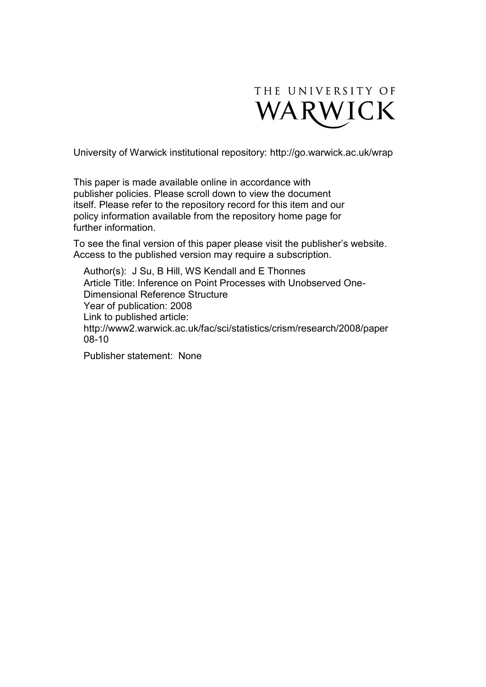

University of Warwick institutional repository:<http://go.warwick.ac.uk/wrap>

This paper is made available online in accordance with publisher policies. Please scroll down to view the document itself. Please refer to the repository record for this item and our policy information available from the repository home page for further information.

To see the final version of this paper please visit the publisher's website. Access to the published version may require a subscription.

Author(s): J Su, B Hill, WS Kendall and E Thonnes Article Title: Inference on Point Processes with Unobserved One-Dimensional Reference Structure Year of publication: 2008 Link to published article: http://www2.warwick.ac.uk/fac/sci/statistics/crism/research/2008/paper 08-10

Publisher statement: None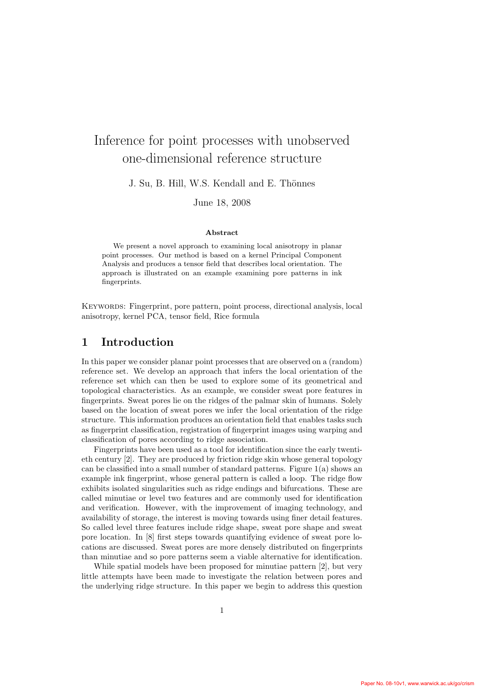# Inference for point processes with unobserved one-dimensional reference structure

J. Su, B. Hill, W.S. Kendall and E. Thönnes

June 18, 2008

#### Abstract

We present a novel approach to examining local anisotropy in planar point processes. Our method is based on a kernel Principal Component Analysis and produces a tensor field that describes local orientation. The approach is illustrated on an example examining pore patterns in ink fingerprints.

Keywords: Fingerprint, pore pattern, point process, directional analysis, local anisotropy, kernel PCA, tensor field, Rice formula

# 1 Introduction

In this paper we consider planar point processes that are observed on a (random) reference set. We develop an approach that infers the local orientation of the reference set which can then be used to explore some of its geometrical and topological characteristics. As an example, we consider sweat pore features in fingerprints. Sweat pores lie on the ridges of the palmar skin of humans. Solely based on the location of sweat pores we infer the local orientation of the ridge structure. This information produces an orientation field that enables tasks such as fingerprint classification, registration of fingerprint images using warping and classification of pores according to ridge association.

Fingerprints have been used as a tool for identification since the early twentieth century [2]. They are produced by friction ridge skin whose general topology can be classified into a small number of standard patterns. Figure  $1(a)$  shows an example ink fingerprint, whose general pattern is called a loop. The ridge flow exhibits isolated singularities such as ridge endings and bifurcations. These are called minutiae or level two features and are commonly used for identification and verification. However, with the improvement of imaging technology, and availability of storage, the interest is moving towards using finer detail features. So called level three features include ridge shape, sweat pore shape and sweat pore location. In [8] first steps towards quantifying evidence of sweat pore locations are discussed. Sweat pores are more densely distributed on fingerprints than minutiae and so pore patterns seem a viable alternative for identification.

While spatial models have been proposed for minutiae pattern [2], but very little attempts have been made to investigate the relation between pores and the underlying ridge structure. In this paper we begin to address this question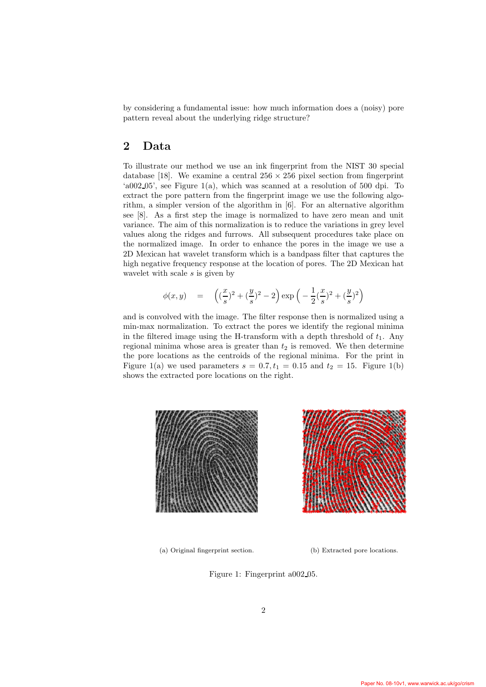by considering a fundamental issue: how much information does a (noisy) pore pattern reveal about the underlying ridge structure?

#### 2 Data

To illustrate our method we use an ink fingerprint from the NIST 30 special database [18]. We examine a central  $256 \times 256$  pixel section from fingerprint 'a002 05', see Figure 1(a), which was scanned at a resolution of 500 dpi. To extract the pore pattern from the fingerprint image we use the following algorithm, a simpler version of the algorithm in [6]. For an alternative algorithm see [8]. As a first step the image is normalized to have zero mean and unit variance. The aim of this normalization is to reduce the variations in grey level values along the ridges and furrows. All subsequent procedures take place on the normalized image. In order to enhance the pores in the image we use a 2D Mexican hat wavelet transform which is a bandpass filter that captures the high negative frequency response at the location of pores. The 2D Mexican hat wavelet with scale s is given by

$$
\phi(x,y) = \left( \left( \frac{x}{s} \right)^2 + \left( \frac{y}{s} \right)^2 - 2 \right) \exp\left( -\frac{1}{2} \left( \frac{x}{s} \right)^2 + \left( \frac{y}{s} \right)^2 \right)
$$

and is convolved with the image. The filter response then is normalized using a min-max normalization. To extract the pores we identify the regional minima in the filtered image using the H-transform with a depth threshold of  $t_1$ . Any regional minima whose area is greater than  $t_2$  is removed. We then determine the pore locations as the centroids of the regional minima. For the print in Figure 1(a) we used parameters  $s = 0.7, t_1 = 0.15$  and  $t_2 = 15$ . Figure 1(b) shows the extracted pore locations on the right.



(a) Original fingerprint section. (b) Extracted pore locations.

Figure 1: Fingerprint a002 05.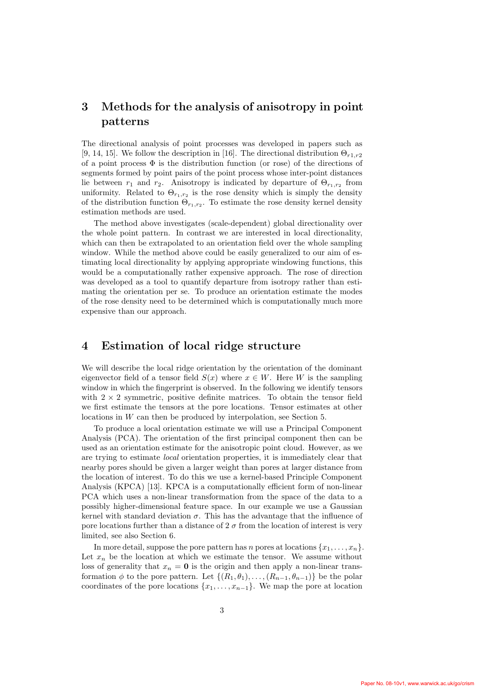# 3 Methods for the analysis of anisotropy in point patterns

The directional analysis of point processes was developed in papers such as [9, 14, 15]. We follow the description in [16]. The directional distribution  $\Theta_{r1,r2}$ of a point process  $\Phi$  is the distribution function (or rose) of the directions of segments formed by point pairs of the point process whose inter-point distances lie between  $r_1$  and  $r_2$ . Anisotropy is indicated by departure of  $\Theta_{r_1,r_2}$  from uniformity. Related to  $\Theta_{r_1,r_2}$  is the rose density which is simply the density of the distribution function  $\Theta_{r_1,r_2}$ . To estimate the rose density kernel density estimation methods are used.

The method above investigates (scale-dependent) global directionality over the whole point pattern. In contrast we are interested in local directionality, which can then be extrapolated to an orientation field over the whole sampling window. While the method above could be easily generalized to our aim of estimating local directionality by applying appropriate windowing functions, this would be a computationally rather expensive approach. The rose of direction was developed as a tool to quantify departure from isotropy rather than estimating the orientation per se. To produce an orientation estimate the modes of the rose density need to be determined which is computationally much more expensive than our approach.

# 4 Estimation of local ridge structure

We will describe the local ridge orientation by the orientation of the dominant eigenvector field of a tensor field  $S(x)$  where  $x \in W$ . Here W is the sampling window in which the fingerprint is observed. In the following we identify tensors with  $2 \times 2$  symmetric, positive definite matrices. To obtain the tensor field we first estimate the tensors at the pore locations. Tensor estimates at other locations in W can then be produced by interpolation, see Section 5.

To produce a local orientation estimate we will use a Principal Component Analysis (PCA). The orientation of the first principal component then can be used as an orientation estimate for the anisotropic point cloud. However, as we are trying to estimate local orientation properties, it is immediately clear that nearby pores should be given a larger weight than pores at larger distance from the location of interest. To do this we use a kernel-based Principle Component Analysis (KPCA) [13]. KPCA is a computationally efficient form of non-linear PCA which uses a non-linear transformation from the space of the data to a possibly higher-dimensional feature space. In our example we use a Gaussian kernel with standard deviation  $\sigma$ . This has the advantage that the influence of pore locations further than a distance of  $2\sigma$  from the location of interest is very limited, see also Section 6.

In more detail, suppose the pore pattern has n pores at locations  $\{x_1, \ldots, x_n\}$ . Let  $x_n$  be the location at which we estimate the tensor. We assume without loss of generality that  $x_n = 0$  is the origin and then apply a non-linear transformation  $\phi$  to the pore pattern. Let  $\{(R_1, \theta_1), \ldots, (R_{n-1}, \theta_{n-1})\}$  be the polar coordinates of the pore locations  $\{x_1, \ldots, x_{n-1}\}$ . We map the pore at location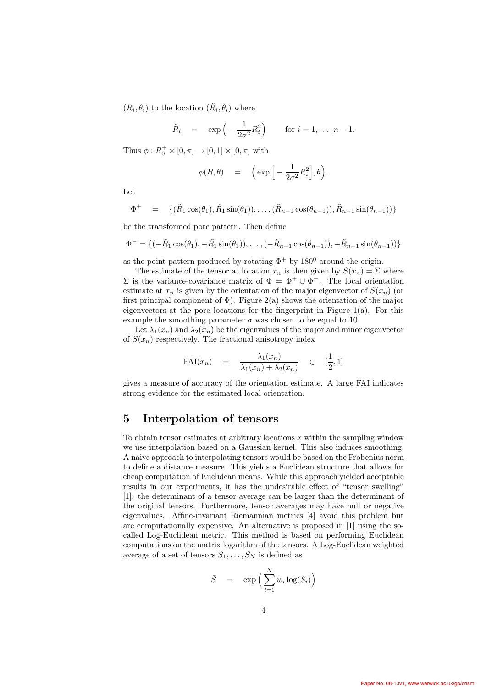$(R_i, \theta_i)$  to the location  $(\tilde{R}_i, \theta_i)$  where

$$
\tilde{R}_i = \exp\left(-\frac{1}{2\sigma^2}R_i^2\right) \quad \text{for } i = 1, \dots, n-1.
$$

Thus  $\phi: R_0^+ \times [0, \pi] \to [0, 1] \times [0, \pi]$  with

$$
\phi(R,\theta) = \left( \exp \left[ -\frac{1}{2\sigma^2} R_i^2 \right], \theta \right).
$$

Let

$$
\Phi^+ = \{ (\tilde{R}_1 \cos(\theta_1), \tilde{R}_1 \sin(\theta_1)), \dots, (\tilde{R}_{n-1} \cos(\theta_{n-1})), \tilde{R}_{n-1} \sin(\theta_{n-1})) \}
$$

be the transformed pore pattern. Then define

$$
\Phi^- = \{(-\tilde{R}_1 \cos(\theta_1), -\tilde{R}_1 \sin(\theta_1)), \dots, (-\tilde{R}_{n-1} \cos(\theta_{n-1})), -\tilde{R}_{n-1} \sin(\theta_{n-1}))\}
$$

as the point pattern produced by rotating  $\Phi^+$  by 180<sup>0</sup> around the origin.

The estimate of the tensor at location  $x_n$  is then given by  $S(x_n) = \Sigma$  where  $\Sigma$  is the variance-covariance matrix of  $\Phi = \Phi^+ \cup \Phi^-$ . The local orientation estimate at  $x_n$  is given by the orientation of the major eigenvector of  $S(x_n)$  (or first principal component of  $\Phi$ ). Figure 2(a) shows the orientation of the major eigenvectors at the pore locations for the fingerprint in Figure 1(a). For this example the smoothing parameter  $\sigma$  was chosen to be equal to 10.

Let  $\lambda_1(x_n)$  and  $\lambda_2(x_n)$  be the eigenvalues of the major and minor eigenvector of  $S(x_n)$  respectively. The fractional anisotropy index

$$
\text{FAI}(x_n) = \frac{\lambda_1(x_n)}{\lambda_1(x_n) + \lambda_2(x_n)} \in [\frac{1}{2}, 1]
$$

gives a measure of accuracy of the orientation estimate. A large FAI indicates strong evidence for the estimated local orientation.

# 5 Interpolation of tensors

To obtain tensor estimates at arbitrary locations  $x$  within the sampling window we use interpolation based on a Gaussian kernel. This also induces smoothing. A naive approach to interpolating tensors would be based on the Frobenius norm to define a distance measure. This yields a Euclidean structure that allows for cheap computation of Euclidean means. While this approach yielded acceptable results in our experiments, it has the undesirable effect of "tensor swelling" [1]: the determinant of a tensor average can be larger than the determinant of the original tensors. Furthermore, tensor averages may have null or negative eigenvalues. Affine-invariant Riemannian metrics [4] avoid this problem but are computationally expensive. An alternative is proposed in [1] using the socalled Log-Euclidean metric. This method is based on performing Euclidean computations on the matrix logarithm of the tensors. A Log-Euclidean weighted average of a set of tensors  $S_1, \ldots, S_N$  is defined as

$$
\bar{S} = \exp\Big(\sum_{i=1}^{N} w_i \log(S_i)\Big)
$$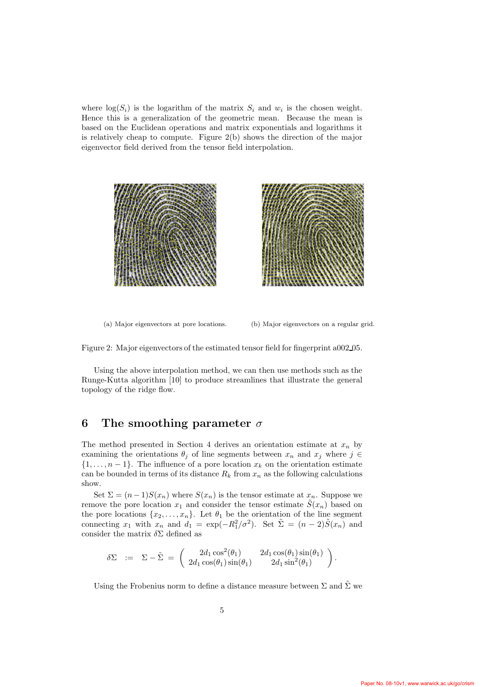where  $log(S_i)$  is the logarithm of the matrix  $S_i$  and  $w_i$  is the chosen weight. Hence this is a generalization of the geometric mean. Because the mean is based on the Euclidean operations and matrix exponentials and logarithms it is relatively cheap to compute. Figure 2(b) shows the direction of the major eigenvector field derived from the tensor field interpolation.



(a) Major eigenvectors at pore locations. (b) Major eigenvectors on a regular grid.

Figure 2: Major eigenvectors of the estimated tensor field for fingerprint a002 05.

Using the above interpolation method, we can then use methods such as the Runge-Kutta algorithm [10] to produce streamlines that illustrate the general topology of the ridge flow.

# 6 The smoothing parameter  $\sigma$

The method presented in Section 4 derives an orientation estimate at  $x_n$  by examining the orientations  $\theta_j$  of line segments between  $x_n$  and  $x_j$  where  $j \in$  $\{1,\ldots,n-1\}$ . The influence of a pore location  $x_k$  on the orientation estimate can be bounded in terms of its distance  $R_k$  from  $x_n$  as the following calculations show.

Set  $\Sigma = (n-1)S(x_n)$  where  $S(x_n)$  is the tensor estimate at  $x_n$ . Suppose we remove the pore location  $x_1$  and consider the tensor estimate  $\tilde{S}(x_n)$  based on the pore locations  $\{x_2, \ldots, x_n\}$ . Let  $\theta_1$  be the orientation of the line segment connecting  $x_1$  with  $x_n$  and  $d_1 = \exp(-R_1^2/\sigma^2)$ . Set  $\tilde{\Sigma} = (n-2)\tilde{S}(x_n)$  and consider the matrix  $\delta \Sigma$  defined as

$$
\delta \Sigma \quad := \quad \Sigma - \tilde{\Sigma} \ = \ \left( \begin{array}{cc} 2 d_1 \cos^2(\theta_1) & 2 d_1 \cos(\theta_1) \sin(\theta_1) \\ 2 d_1 \cos(\theta_1) \sin(\theta_1) & 2 d_1 \sin^2(\theta_1) \end{array} \right).
$$

Using the Frobenius norm to define a distance measure between  $\Sigma$  and  $\tilde{\Sigma}$  we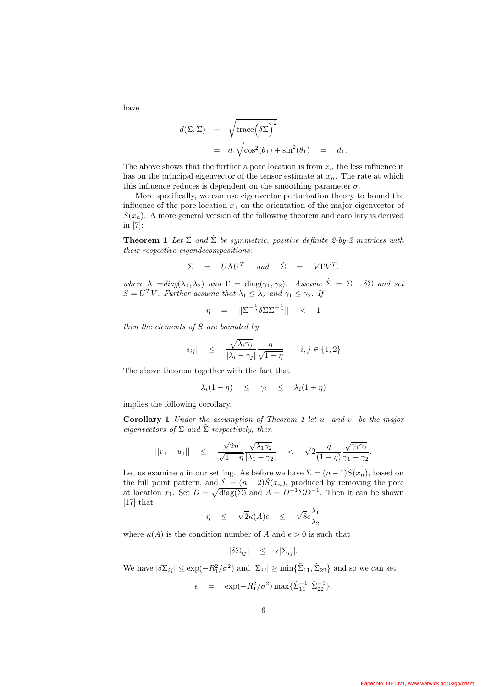have

$$
d(\Sigma, \tilde{\Sigma}) = \sqrt{\text{trace}(\delta \Sigma)^2}
$$
  
=  $d_1 \sqrt{\cos^2(\theta_1) + \sin^2(\theta_1)}$  =  $d_1$ .

The above shows that the further a pore location is from  $x_n$  the less influence it has on the principal eigenvector of the tensor estimate at  $x_n$ . The rate at which this influence reduces is dependent on the smoothing parameter  $\sigma$ .

More specifically, we can use eigenvector perturbation theory to bound the influence of the pore location  $x_1$  on the orientation of the major eigenvector of  $S(x_n)$ . A more general version of the following theorem and corollary is derived in [7]:

**Theorem 1** Let  $\Sigma$  and  $\tilde{\Sigma}$  be symmetric, positive definite 2-by-2 matrices with their respective eigendecompositions:

$$
\Sigma = U \Lambda U^T \quad and \quad \tilde{\Sigma} = V \Gamma V^T.
$$

where  $\Lambda = diag(\lambda_1, \lambda_2)$  and  $\Gamma = diag(\gamma_1, \gamma_2)$ . Assume  $\tilde{\Sigma} = \Sigma + \delta \Sigma$  and set  $S = U<sup>T</sup> V$ . Further assume that  $\lambda_1 \leq \lambda_2$  and  $\gamma_1 \leq \gamma_2$ . If

$$
\eta = ||\Sigma^{-\frac{1}{2}} \delta \Sigma \Sigma^{-\frac{1}{2}}|| < 1
$$

then the elements of S are bounded by

$$
|s_{ij}| \leq \frac{\sqrt{\lambda_i \gamma_j}}{|\lambda_i - \gamma_j|} \frac{\eta}{\sqrt{1 - \eta}} \qquad i, j \in \{1, 2\}.
$$

The above theorem together with the fact that

$$
\lambda_i(1-\eta) \leq \gamma_i \leq \lambda_i(1+\eta)
$$

implies the following corollary.

**Corollary 1** Under the assumption of Theorem 1 let  $u_1$  and  $v_1$  be the major eigenvectors of  $\Sigma$  and  $\tilde{\Sigma}$  respectively, then

$$
||v_1 - u_1|| \leq \frac{\sqrt{2}\eta}{\sqrt{1-\eta}} \frac{\sqrt{\lambda_1 \gamma_2}}{|\lambda_1 - \gamma_2|} < \sqrt{2} \frac{\eta}{(1-\eta)} \frac{\sqrt{\gamma_1 \gamma_2}}{\gamma_1 - \gamma_2}.
$$

Let us examine  $\eta$  in our setting. As before we have  $\Sigma = (n-1)S(x_n)$ , based on the full point pattern, and  $\Sigma = (n - 2)\tilde{S}(x_n)$ , produced by removing the pore at location  $x_1$ . Set  $D = \sqrt{\text{diag}(\Sigma)}$  and  $A = D^{-1} \Sigma D^{-1}$ . Then it can be shown [17] that

$$
\eta \quad \leq \quad \sqrt{2}\kappa(A)\epsilon \quad \leq \quad \sqrt{8}\epsilon \frac{\lambda_1}{\lambda_2}
$$

where  $\kappa(A)$  is the condition number of A and  $\epsilon > 0$  is such that

$$
|\delta \Sigma_{ij}| \leq \epsilon |\Sigma_{ij}|.
$$

We have  $|\delta \Sigma_{ij}| \le \exp(-R_1^2/\sigma^2)$  and  $|\Sigma_{ij}| \ge \min{\{\tilde{\Sigma}_{11}, \tilde{\Sigma}_{22}\}}$  and so we can set

$$
\epsilon = \exp(-R_1^2/\sigma^2) \max\{\tilde{\Sigma}_{11}^{-1}, \tilde{\Sigma}_{22}^{-1}\}.
$$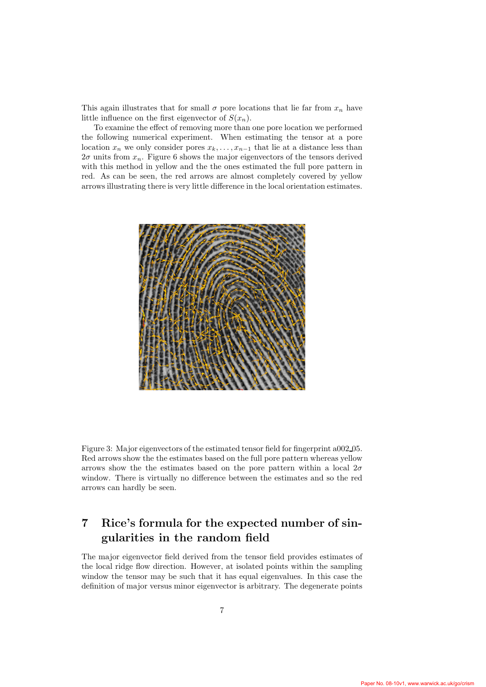This again illustrates that for small  $\sigma$  pore locations that lie far from  $x_n$  have little influence on the first eigenvector of  $S(x_n)$ .

To examine the effect of removing more than one pore location we performed the following numerical experiment. When estimating the tensor at a pore location  $x_n$  we only consider pores  $x_k, \ldots, x_{n-1}$  that lie at a distance less than  $2\sigma$  units from  $x_n$ . Figure 6 shows the major eigenvectors of the tensors derived with this method in yellow and the the ones estimated the full pore pattern in red. As can be seen, the red arrows are almost completely covered by yellow arrows illustrating there is very little difference in the local orientation estimates.



Figure 3: Major eigenvectors of the estimated tensor field for fingerprint a002 05. Red arrows show the the estimates based on the full pore pattern whereas yellow arrows show the the estimates based on the pore pattern within a local  $2\sigma$ window. There is virtually no difference between the estimates and so the red arrows can hardly be seen.

# 7 Rice's formula for the expected number of singularities in the random field

The major eigenvector field derived from the tensor field provides estimates of the local ridge flow direction. However, at isolated points within the sampling window the tensor may be such that it has equal eigenvalues. In this case the definition of major versus minor eigenvector is arbitrary. The degenerate points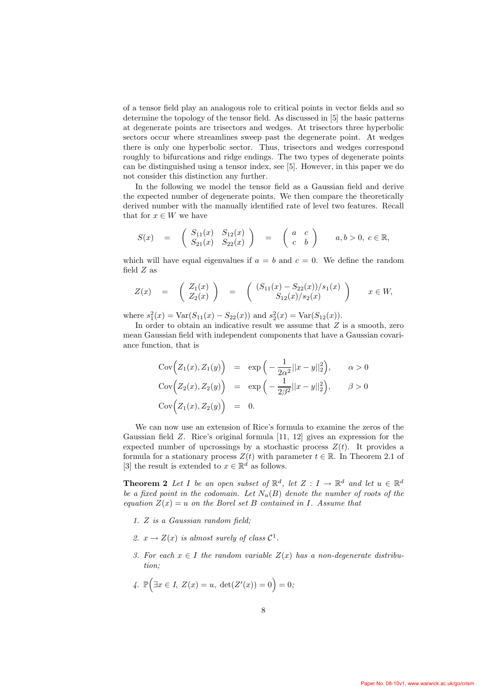of a tensor field play an analogous role to critical points in vector fields and so determine the topology of the tensor field. As discussed in [5] the basic patterns at degenerate points are trisectors and wedges. At trisectors three hyperbolic sectors occur where streamlines sweep past the degenerate point. At wedges there is only one hyperbolic sector. Thus, trisectors and wedges correspond roughly to bifurcations and ridge endings. The two types of degenerate points can be distinguished using a tensor index, see [5]. However, in this paper we do not consider this distinction any further.

In the following we model the tensor field as a Gaussian field and derive the expected number of degenerate points. We then compare the theoretically derived number with the manually identified rate of level two features. Recall that for  $x \in W$  we have

$$
S(x) = \begin{pmatrix} S_{11}(x) & S_{12}(x) \\ S_{21}(x) & S_{22}(x) \end{pmatrix} = \begin{pmatrix} a & c \\ c & b \end{pmatrix} \quad a, b > 0, \ c \in \mathbb{R},
$$

which will have equal eigenvalues if  $a = b$  and  $c = 0$ . We define the random field  $Z$  as

$$
Z(x) = \begin{pmatrix} Z_1(x) \\ Z_2(x) \end{pmatrix} = \begin{pmatrix} (S_{11}(x) - S_{22}(x))/s_1(x) \\ S_{12}(x)/s_2(x) \end{pmatrix} x \in W,
$$

where  $s_1^2(x) = \text{Var}(S_{11}(x) - S_{22}(x))$  and  $s_2^2(x) = \text{Var}(S_{12}(x))$ .

In order to obtain an indicative result we assume that  $Z$  is a smooth, zero mean Gaussian field with independent components that have a Gaussian covariance function, that is

$$
Cov\Big(Z_1(x), Z_1(y)\Big) = \exp\Big(-\frac{1}{2\alpha^2}||x - y||_2^2\Big), \qquad \alpha > 0
$$
  
\n
$$
Cov\Big(Z_2(x), Z_2(y)\Big) = \exp\Big(-\frac{1}{2\beta^2}||x - y||_2^2\Big), \qquad \beta > 0
$$
  
\n
$$
Cov\Big(Z_1(x), Z_2(y)\Big) = 0.
$$

We can now use an extension of Rice's formula to examine the zeros of the Gaussian field Z. Rice's original formula [11, 12] gives an expression for the expected number of upcrossings by a stochastic process  $Z(t)$ . It provides a formula for a stationary process  $Z(t)$  with parameter  $t \in \mathbb{R}$ . In Theorem 2.1 of [3] the result is extended to  $x \in \mathbb{R}^d$  as follows.

**Theorem 2** Let I be an open subset of  $\mathbb{R}^d$ , let  $Z: I \to \mathbb{R}^d$  and let  $u \in \mathbb{R}^d$ be a fixed point in the codomain. Let  $N_u(B)$  denote the number of roots of the equation  $Z(x) = u$  on the Borel set B contained in I. Assume that

- 1. Z is a Gaussian random field;
- 2.  $x \to Z(x)$  is almost surely of class  $C^1$ .
- 3. For each  $x \in I$  the random variable  $Z(x)$  has a non-degenerate distribution;

4. 
$$
\mathbb{P}(\exists x \in I, Z(x) = u, \det(Z'(x)) = 0) = 0;
$$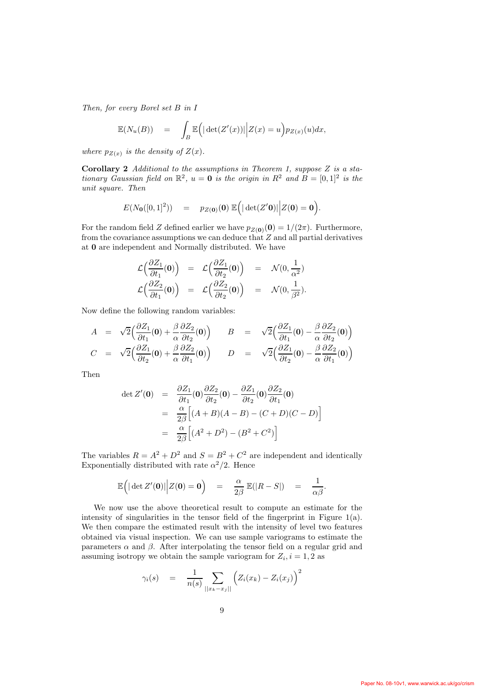Then, for every Borel set B in I

$$
\mathbb{E}(N_u(B)) = \int_B \mathbb{E}(|\det(Z'(x))| | Z(x) = u) p_{Z(x)}(u) dx,
$$

where  $p_{Z(x)}$  is the density of  $Z(x)$ .

**Corollary 2** Additional to the assumptions in Theorem 1, suppose  $Z$  is a stationary Gaussian field on  $\mathbb{R}^2$ ,  $u = 0$  is the origin in  $R^2$  and  $B = [0, 1]^2$  is the unit square. Then

$$
E(N_{0}([0,1]^{2})) = p_{Z(0)}(0) \mathbb{E}(|\det(Z'0)||Z(0) = 0).
$$

For the random field Z defined earlier we have  $p_{Z(0)}(0) = 1/(2\pi)$ . Furthermore, from the covariance assumptions we can deduce that  $Z$  and all partial derivatives at 0 are independent and Normally distributed. We have

$$
\mathcal{L}\left(\frac{\partial Z_1}{\partial t_1}(\mathbf{0})\right) = \mathcal{L}\left(\frac{\partial Z_1}{\partial t_2}(\mathbf{0})\right) = \mathcal{N}(0, \frac{1}{\alpha^2})
$$
\n
$$
\mathcal{L}\left(\frac{\partial Z_2}{\partial t_1}(\mathbf{0})\right) = \mathcal{L}\left(\frac{\partial Z_2}{\partial t_2}(\mathbf{0})\right) = \mathcal{N}(0, \frac{1}{\beta^2}).
$$

Now define the following random variables:

$$
A = \sqrt{2} \left( \frac{\partial Z_1}{\partial t_1} (0) + \frac{\beta}{\alpha} \frac{\partial Z_2}{\partial t_2} (0) \right) \qquad B = \sqrt{2} \left( \frac{\partial Z_1}{\partial t_1} (0) - \frac{\beta}{\alpha} \frac{\partial Z_2}{\partial t_2} (0) \right)
$$
  

$$
C = \sqrt{2} \left( \frac{\partial Z_1}{\partial t_2} (0) + \frac{\beta}{\alpha} \frac{\partial Z_2}{\partial t_1} (0) \right) \qquad D = \sqrt{2} \left( \frac{\partial Z_1}{\partial t_2} (0) - \frac{\beta}{\alpha} \frac{\partial Z_2}{\partial t_1} (0) \right)
$$

Then

$$
\det Z'(\mathbf{0}) = \frac{\partial Z_1}{\partial t_1}(\mathbf{0}) \frac{\partial Z_2}{\partial t_2}(\mathbf{0}) - \frac{\partial Z_1}{\partial t_2}(\mathbf{0}) \frac{\partial Z_2}{\partial t_1}(\mathbf{0})
$$
  
\n
$$
= \frac{\alpha}{2\beta} \Big[ (A+B)(A-B) - (C+D)(C-D) \Big]
$$
  
\n
$$
= \frac{\alpha}{2\beta} \Big[ (A^2 + D^2) - (B^2 + C^2) \Big]
$$

The variables  $R = A^2 + D^2$  and  $S = B^2 + C^2$  are independent and identically Exponentially distributed with rate  $\alpha^2/2$ . Hence

$$
\mathbb{E}\Big(\big|\det Z'(\mathbf{0})\big|\Big|Z(\mathbf{0})=\mathbf{0}\Big)\quad =\quad \frac{\alpha}{2\beta}\,\mathbb{E}(|R-S|)\quad =\quad \frac{1}{\alpha\beta}.
$$

We now use the above theoretical result to compute an estimate for the intensity of singularities in the tensor field of the fingerprint in Figure  $1(a)$ . We then compare the estimated result with the intensity of level two features obtained via visual inspection. We can use sample variograms to estimate the parameters  $\alpha$  and  $\beta$ . After interpolating the tensor field on a regular grid and assuming isotropy we obtain the sample variogram for  $Z_i$ ,  $i = 1, 2$  as

$$
\gamma_i(s) = \frac{1}{n(s)} \sum_{\vert x_k - x_j \vert \vert} \left( Z_i(x_k) - Z_i(x_j) \right)^2
$$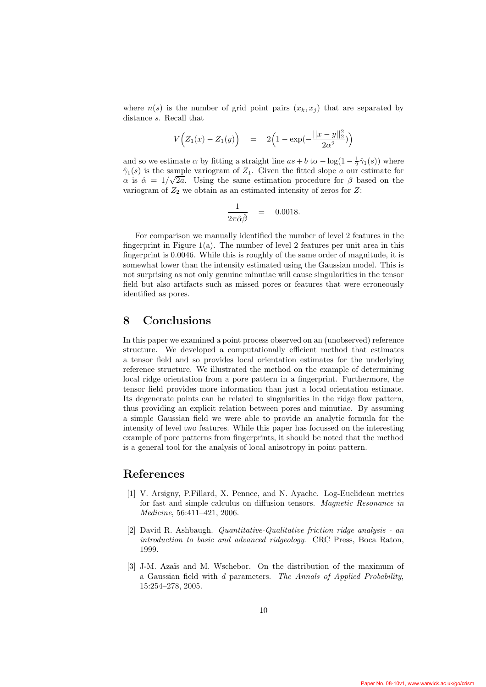where  $n(s)$  is the number of grid point pairs  $(x_k, x_j)$  that are separated by distance s. Recall that

$$
V(Z_1(x) - Z_1(y)) = 2(1 - \exp(-\frac{||x - y||_2^2}{2\alpha^2}))
$$

and so we estimate  $\alpha$  by fitting a straight line  $as + b$  to  $-\log(1 - \frac{1}{2}\hat{\gamma}_1(s))$  where  $\hat{\gamma}_1(s)$  is the sample variogram of  $Z_1$ . Given the fitted slope a our estimate for  $\alpha$  is  $\hat{\alpha} = 1/\sqrt{2a}$ . Using the same estimation procedure for  $\beta$  based on the variogram of  $Z_2$  we obtain as an estimated intensity of zeros for  $Z$ :

$$
\frac{1}{2\pi\hat{\alpha}\hat{\beta}} = 0.0018.
$$

For comparison we manually identified the number of level 2 features in the fingerprint in Figure 1(a). The number of level 2 features per unit area in this fingerprint is 0.0046. While this is roughly of the same order of magnitude, it is somewhat lower than the intensity estimated using the Gaussian model. This is not surprising as not only genuine minutiae will cause singularities in the tensor field but also artifacts such as missed pores or features that were erroneously identified as pores.

#### 8 Conclusions

In this paper we examined a point process observed on an (unobserved) reference structure. We developed a computationally efficient method that estimates a tensor field and so provides local orientation estimates for the underlying reference structure. We illustrated the method on the example of determining local ridge orientation from a pore pattern in a fingerprint. Furthermore, the tensor field provides more information than just a local orientation estimate. Its degenerate points can be related to singularities in the ridge flow pattern, thus providing an explicit relation between pores and minutiae. By assuming a simple Gaussian field we were able to provide an analytic formula for the intensity of level two features. While this paper has focussed on the interesting example of pore patterns from fingerprints, it should be noted that the method is a general tool for the analysis of local anisotropy in point pattern.

# References

- [1] V. Arsigny, P.Fillard, X. Pennec, and N. Ayache. Log-Euclidean metrics for fast and simple calculus on diffusion tensors. Magnetic Resonance in Medicine, 56:411–421, 2006.
- [2] David R. Ashbaugh. Quantitative-Qualitative friction ridge analysis an introduction to basic and advanced ridgeology. CRC Press, Boca Raton, 1999.
- [3] J-M. Azaïs and M. Wschebor. On the distribution of the maximum of a Gaussian field with d parameters. The Annals of Applied Probability, 15:254–278, 2005.